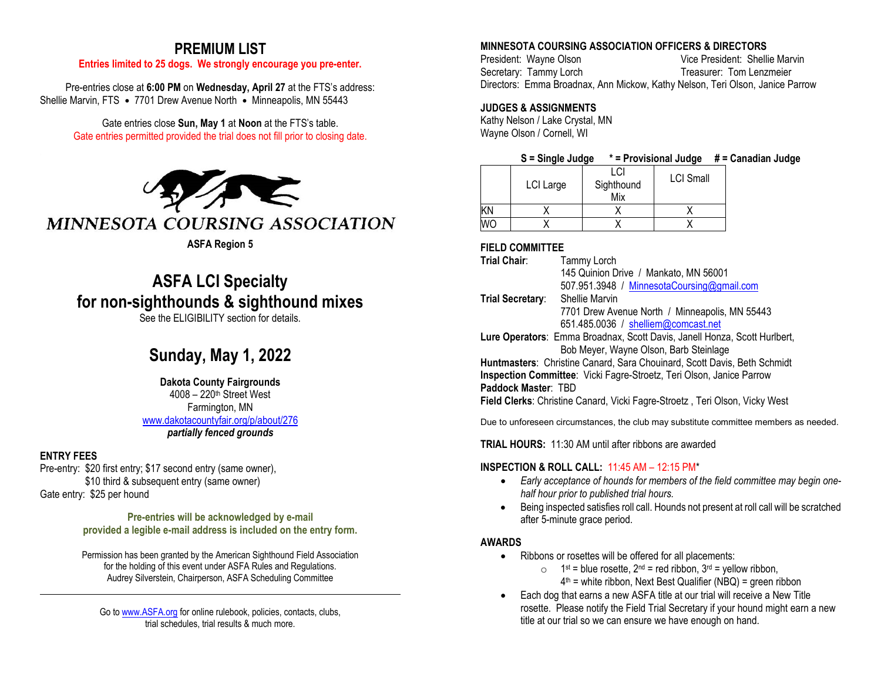# **PREMIUM LIST**

### **Entries limited to 25 dogs. We strongly encourage you pre-enter.**

Pre-entries close at **6:00 PM** on **Wednesday, April 27** at the FTS's address: Shellie Marvin, FTS **•** 7701 Drew Avenue North **•** Minneapolis, MN 55443

> Gate entries close **Sun, May 1** at **Noon** at the FTS's table. Gate entries permitted provided the trial does not fill prior to closing date.



## **ASFA Region 5**

# **ASFA LCI Specialty for non-sighthounds & sighthound mixes**

See the ELIGIBILITY section for details.

# **Sunday, May 1, 2022**

#### **Dakota County Fairgrounds**  $4008 - 220$ <sup>th</sup> Street West Farmington, MN

[www.dakotacountyfair.org/p/about/276](http://www.dakotacountyfair.org/p/about/276) *partially fenced grounds*

## **ENTRY FEES**

Pre-entry: \$20 first entry; \$17 second entry (same owner), \$10 third & subsequent entry (same owner) Gate entry: \$25 per hound

> **Pre-entries will be acknowledged by e-mail provided a legible e-mail address is included on the entry form.**

> Permission has been granted by the American Sighthound Field Association for the holding of this event under ASFA Rules and Regulations. Audrey Silverstein, Chairperson, ASFA Scheduling Committee

Go to [www.ASFA.org](http://www.asfa.org/) for online rulebook, policies, contacts, clubs, trial schedules, trial results & much more.

# **MINNESOTA COURSING ASSOCIATION OFFICERS & DIRECTORS**

President: Wayne Olson Vice President: Shellie Marvin Secretary: Tammy Lorch Treasurer: Tom Lenzmeier Directors: Emma Broadnax, Ann Mickow, Kathy Nelson, Teri Olson, Janice Parrow

## **JUDGES & ASSIGNMENTS**

Kathy Nelson / Lake Crystal, MN Wayne Olson / Cornell, WI

| S = Single Judge | $*$ = Provisional Judge $#$ = Canadian Judge |  |
|------------------|----------------------------------------------|--|
|------------------|----------------------------------------------|--|

| LCI Large | Sighthound<br>Mix | <b>LCI Small</b> |
|-----------|-------------------|------------------|
|           |                   |                  |
|           |                   |                  |

## **FIELD COMMITTEE**

**Trial Chair**: Tammy Lorch 145 Quinion Drive / Mankato, MN 56001

507.951.3948 / [MinnesotaCoursing@gmail.com](mailto:MinnesotaCoursing@gmail.com)

**Trial Secretary**: Shellie Marvin 7701 Drew Avenue North / Minneapolis, MN 55443 651.485.0036 / [shelliem@comcast.net](mailto:shelliem@comcast.net)

**Lure Operators**: Emma Broadnax, Scott Davis, Janell Honza, Scott Hurlbert, Bob Meyer, Wayne Olson, Barb Steinlage

**Huntmasters**: Christine Canard, Sara Chouinard, Scott Davis, Beth Schmidt **Inspection Committee**: Vicki Fagre-Stroetz, Teri Olson, Janice Parrow

**Paddock Master**: TBD

**Field Clerks**: Christine Canard, Vicki Fagre-Stroetz , Teri Olson, Vicky West

Due to unforeseen circumstances, the club may substitute committee members as needed.

**TRIAL HOURS:** 11:30 AM until after ribbons are awarded

# **INSPECTION & ROLL CALL:** 11:45 AM – 12:15 PM\*

- *Early acceptance of hounds for members of the field committee may begin onehalf hour prior to published trial hours.*
- Being inspected satisfies roll call. Hounds not present at roll call will be scratched after 5-minute grace period.

## **AWARDS**

- Ribbons or rosettes will be offered for all placements:
	- $\circ$  1<sup>st</sup> = blue rosette, 2<sup>nd</sup> = red ribbon, 3<sup>rd</sup> = yellow ribbon,  $4<sup>th</sup>$  = white ribbon, Next Best Qualifier (NBQ) = green ribbon
- Each dog that earns a new ASFA title at our trial will receive a New Title rosette. Please notify the Field Trial Secretary if your hound might earn a new title at our trial so we can ensure we have enough on hand.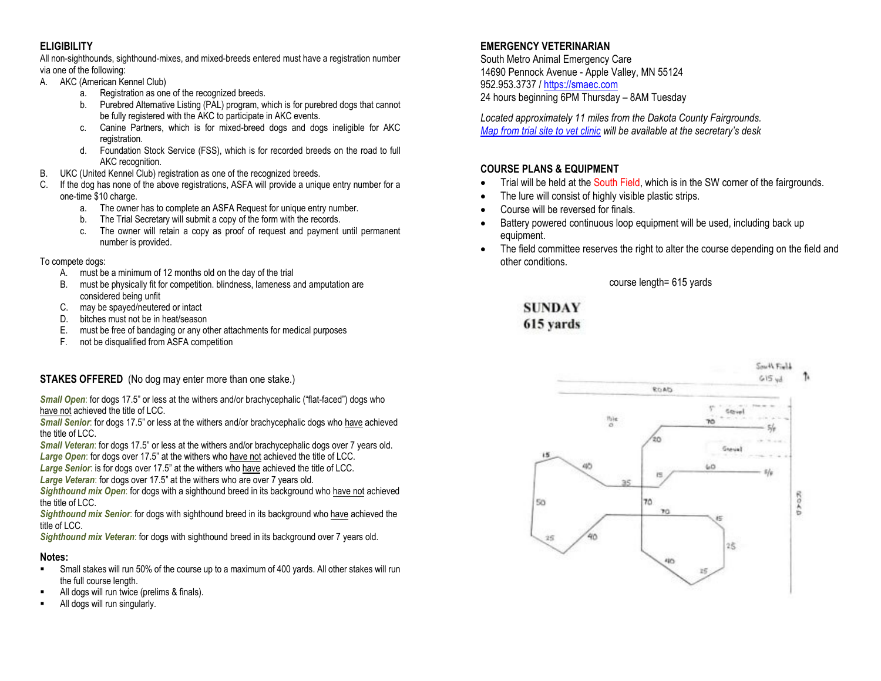# **ELIGIBILITY**

All non-sighthounds, sighthound-mixes, and mixed-breeds entered must have a registration number via one of the following:

- A. AKC (American Kennel Club)
	- a. Registration as one of the recognized breeds.
	- b. Purebred Alternative Listing (PAL) program, which is for purebred dogs that cannot be fully registered with the AKC to participate in AKC events.
	- c. Canine Partners, which is for mixed-breed dogs and dogs ineligible for AKC registration.
	- d. Foundation Stock Service (FSS), which is for recorded breeds on the road to full AKC recognition.
- B. UKC (United Kennel Club) registration as one of the recognized breeds.
- C. If the dog has none of the above registrations, ASFA will provide a unique entry number for a one-time \$10 charge.
	- a. The owner has to complete an ASFA Request for unique entry number.
	- b. The Trial Secretary will submit a copy of the form with the records.
	- c. The owner will retain a copy as proof of request and payment until permanent number is provided.

## To compete dogs:

- A. must be a minimum of 12 months old on the day of the trial
- B. must be physically fit for competition. blindness, lameness and amputation are considered being unfit
- C. may be spayed/neutered or intact
- D. bitches must not be in heat/season
- E. must be free of bandaging or any other attachments for medical purposes
- F. not be disqualified from ASFA competition

# **STAKES OFFERED** (No dog may enter more than one stake.)

**Small Open:** for dogs 17.5" or less at the withers and/or brachycephalic ("flat-faced") dogs who have not achieved the title of LCC.

*Small Senior*: for dogs 17.5" or less at the withers and/or brachycephalic dogs who have achieved the title of LCC.

*Small Veteran*: for dogs 17.5" or less at the withers and/or brachycephalic dogs over 7 years old. *Large Open*: for dogs over 17.5" at the withers who have not achieved the title of LCC.

*Large Senior*: is for dogs over 17.5" at the withers who have achieved the title of LCC.

*Large Veteran*: for dogs over 17.5" at the withers who are over 7 years old.

*Sighthound mix Open*: for dogs with a sighthound breed in its background who have not achieved the title of LCC.

*Sighthound mix Senior*: for dogs with sighthound breed in its background who have achieved the title of LCC.

*Sighthound mix Veteran*: for dogs with sighthound breed in its background over 7 years old.

## **Notes:**

- Small stakes will run 50% of the course up to a maximum of 400 yards. All other stakes will run the full course length.
- All dogs will run twice (prelims & finals).
- All dogs will run singularly.

# **EMERGENCY VETERINARIAN**

South Metro Animal Emergency Care 14690 Pennock Avenue - Apple Valley, MN 55124 952.953.3737 / [https://smaec.com](https://smaec.com/) 24 hours beginning 6PM Thursday – 8AM Tuesday

*Located approximately 11 miles from the Dakota County Fairgrounds. [Map from trial site to vet clinic](https://goo.gl/maps/UCD2UfJw2eEGzNt6A) will be available at the secretary's desk*

# **COURSE PLANS & EQUIPMENT**

- Trial will be held at the South Field, which is in the SW corner of the fairgrounds.
- The lure will consist of highly visible plastic strips.
- Course will be reversed for finals.
- Battery powered continuous loop equipment will be used, including back up equipment.
- The field committee reserves the right to alter the course depending on the field and other conditions.

course length= 615 yards

**SUNDAY** 615 yards

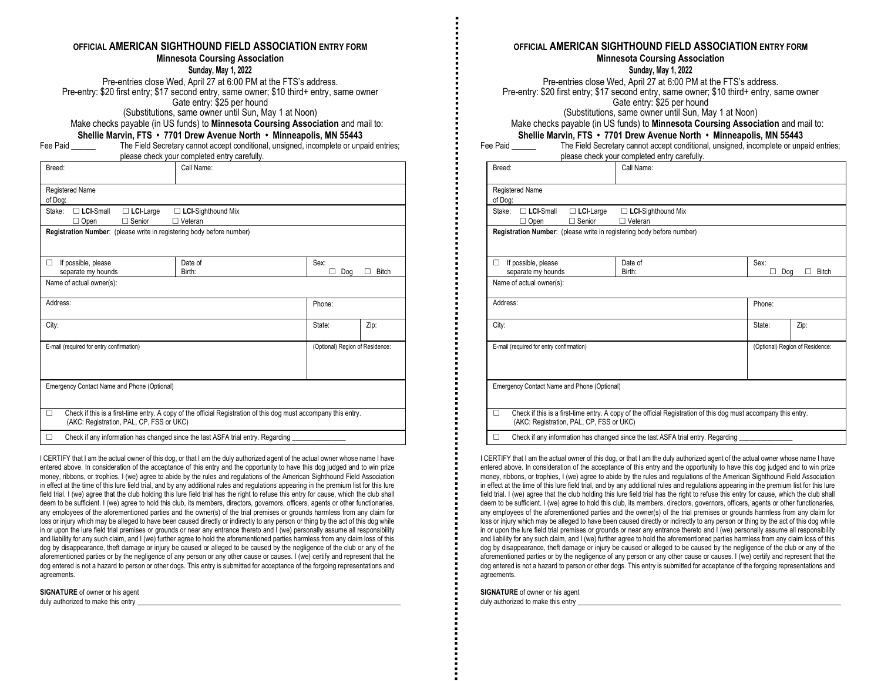#### **OFFICIAL AMERICAN SIGHTHOUND FIELD ASSOCIATION ENTRY FORM Minnesota Coursing Association**

**Sunday, May 1, 2022**

Pre-entries close Wed, April 27 at 6:00 PM at the FTS's address. Pre-entry: \$20 first entry; \$17 second entry, same owner; \$10 third+ entry, same owner Gate entry: \$25 per hound (Substitutions, same owner until Sun, May 1 at Noon)

Make checks payable (in US funds) to **Minnesota Coursing Association** and mail to: **Shellie Marvin, FTS • 7701 Drew Avenue North • Minneapolis, MN 55443**

Fee Paid \_\_\_\_\_\_ The Field Secretary cannot accept conditional, unsigned, incomplete or unpaid entries; please check your completed entry carefully.

| Breed:                                                                | Call Name:                                                                                                      |                  |                                 |  |  |
|-----------------------------------------------------------------------|-----------------------------------------------------------------------------------------------------------------|------------------|---------------------------------|--|--|
| Registered Name<br>of Dog:                                            |                                                                                                                 |                  |                                 |  |  |
| $\Box$ LCI-Small<br>Stake:<br>$\Box$ LCI-Large<br>Senior<br>Open<br>п | $\Box$ LCI-Sighthound Mix<br>□ Veteran                                                                          |                  |                                 |  |  |
| Registration Number: (please write in registering body before number) |                                                                                                                 |                  |                                 |  |  |
| If possible, please<br>п<br>separate my hounds                        | Date of<br>Birth:                                                                                               | Sex:<br>Dog<br>п | <b>Bitch</b>                    |  |  |
| Name of actual owner(s):                                              |                                                                                                                 |                  |                                 |  |  |
| Address:                                                              |                                                                                                                 | Phone:           |                                 |  |  |
| City:                                                                 |                                                                                                                 | State:           | Zip:                            |  |  |
| E-mail (required for entry confirmation)                              |                                                                                                                 |                  | (Optional) Region of Residence: |  |  |
| Emergency Contact Name and Phone (Optional)                           |                                                                                                                 |                  |                                 |  |  |
| п<br>(AKC: Registration, PAL, CP, FSS or UKC)                         | Check if this is a first-time entry. A copy of the official Registration of this dog must accompany this entry. |                  |                                 |  |  |
|                                                                       | Check if any information has changed since the last ASFA trial entry. Regarding                                 |                  |                                 |  |  |

I CERTIFY that I am the actual owner of this dog, or that I am the duly authorized agent of the actual owner whose name I have entered above. In consideration of the acceptance of this entry and the opportunity to have this dog judged and to win prize money, ribbons, or trophies, I (we) agree to abide by the rules and regulations of the American Sighthound Field Association in effect at the time of this lure field trial, and by any additional rules and regulations appearing in the premium list for this lure field trial. I (we) agree that the club holding this lure field trial has the right to refuse this entry for cause, which the club shall deem to be sufficient. I (we) agree to hold this club, its members, directors, governors, officers, agents or other functionaries, any employees of the aforementioned parties and the owner(s) of the trial premises or grounds harmless from any claim for loss or injury which may be alleged to have been caused directly or indirectly to any person or thing by the act of this dog while in or upon the lure field trial premises or grounds or near any entrance thereto and I (we) personally assume all responsibility and liability for any such claim, and I (we) further agree to hold the aforementioned parties harmless from any claim loss of this dog by disappearance, theft damage or injury be caused or alleged to be caused by the negligence of the club or any of the aforementioned parties or by the negligence of any person or any other cause or causes. I (we) certify and represent that the dog entered is not a hazard to person or other dogs. This entry is submitted for acceptance of the forgoing representations and agreements.

**SIGNATURE** of owner or his agent duly authorized to make this entry

**OFFICIAL AMERICAN SIGHTHOUND FIELD ASSOCIATION ENTRY FORM Minnesota Coursing Association**

**Sunday, May 1, 2022**

Pre-entries close Wed, April 27 at 6:00 PM at the FTS's address. Pre-entry: \$20 first entry; \$17 second entry, same owner; \$10 third+ entry, same owner Gate entry: \$25 per hound

(Substitutions, same owner until Sun, May 1 at Noon)

Make checks payable (in US funds) to **Minnesota Coursing Association** and mail to:

#### **Shellie Marvin, FTS • 7701 Drew Avenue North • Minneapolis, MN 55443**

| Fee Paid | The Field Secretary cannot accept conditional, unsigned, incomplete or unpaid entries; |
|----------|----------------------------------------------------------------------------------------|
|          | please check your completed entry carefully.                                           |

| Breed:                                                                | Call Name:                                                                                                      |           |                                 |
|-----------------------------------------------------------------------|-----------------------------------------------------------------------------------------------------------------|-----------|---------------------------------|
| Registered Name<br>of Dog:                                            |                                                                                                                 |           |                                 |
| $\Box$ LCI-Small<br>Stake:<br>$\Box$ LCI-Large<br>Open<br>Senior<br>п | □ LCI-Sighthound Mix<br>$\Box$ Veteran                                                                          |           |                                 |
| Registration Number: (please write in registering body before number) |                                                                                                                 |           |                                 |
| If possible, please<br>П<br>separate my hounds                        | Date of<br>Birth:                                                                                               | Sex:<br>П | <b>Bitch</b><br>Dog             |
| Name of actual owner(s):                                              |                                                                                                                 |           |                                 |
| Address:                                                              |                                                                                                                 | Phone:    |                                 |
| City:                                                                 |                                                                                                                 | State:    | Zip:                            |
| E-mail (required for entry confirmation)                              |                                                                                                                 |           | (Optional) Region of Residence: |
| Emergency Contact Name and Phone (Optional)                           |                                                                                                                 |           |                                 |
| П<br>(AKC: Registration, PAL, CP, FSS or UKC)                         | Check if this is a first-time entry. A copy of the official Registration of this dog must accompany this entry. |           |                                 |
| п                                                                     | Check if any information has changed since the last ASFA trial entry. Regarding                                 |           |                                 |

I CERTIFY that I am the actual owner of this dog, or that I am the duly authorized agent of the actual owner whose name I have entered above. In consideration of the acceptance of this entry and the opportunity to have this dog judged and to win prize money, ribbons, or trophies, I (we) agree to abide by the rules and regulations of the American Sighthound Field Association in effect at the time of this lure field trial, and by any additional rules and regulations appearing in the premium list for this lure field trial. I (we) agree that the club holding this lure field trial has the right to refuse this entry for cause, which the club shall deem to be sufficient. I (we) agree to hold this club, its members, directors, governors, officers, agents or other functionaries, any employees of the aforementioned parties and the owner(s) of the trial premises or grounds harmless from any claim for loss or injury which may be alleged to have been caused directly or indirectly to any person or thing by the act of this dog while in or upon the lure field trial premises or grounds or near any entrance thereto and I (we) personally assume all responsibility and liability for any such claim, and I (we) further agree to hold the aforementioned parties harmless from any claim loss of this dog by disappearance, theft damage or injury be caused or alleged to be caused by the negligence of the club or any of the aforementioned parties or by the negligence of any person or any other cause or causes. I (we) certify and represent that the dog entered is not a hazard to person or other dogs. This entry is submitted for acceptance of the forgoing representations and agreements.

**SIGNATURE** of owner or his agent duly authorized to make this entry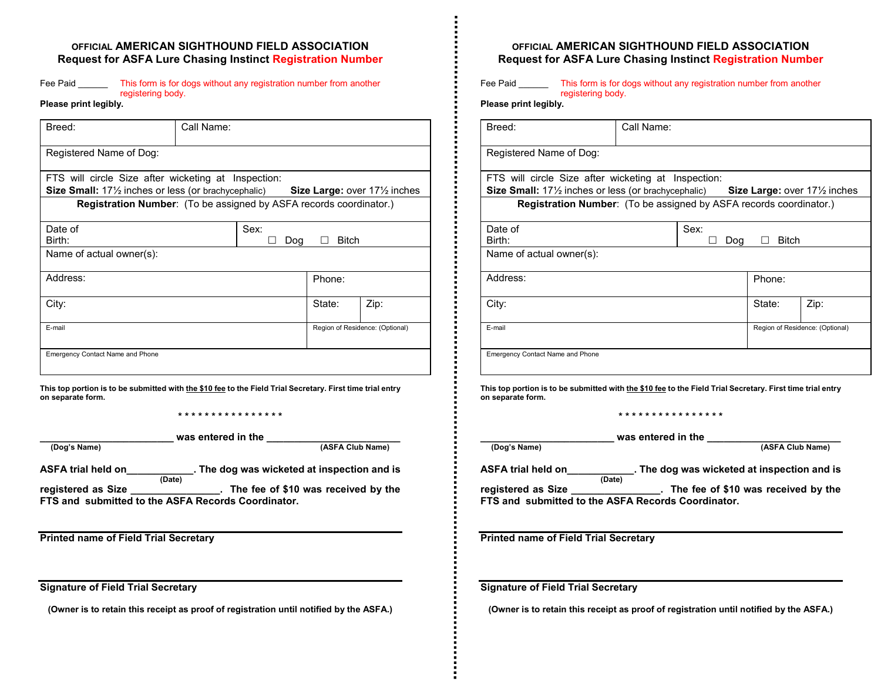## **OFFICIAL AMERICAN SIGHTHOUND FIELD ASSOCIATION Request for ASFA Lure Chasing Instinct Registration Number**

#### Fee Paid This form is for dogs without any registration number from another registering body.

**Please print legibly.**

| Breed:                                                                                                                                      | Call Name:                                                                |              |                                         |  |  |  |
|---------------------------------------------------------------------------------------------------------------------------------------------|---------------------------------------------------------------------------|--------------|-----------------------------------------|--|--|--|
| Registered Name of Dog:                                                                                                                     |                                                                           |              |                                         |  |  |  |
| FTS will circle Size after wicketing at Inspection:<br><b>Size Small:</b> 17 <sup>1</sup> / <sub>2</sub> inches or less (or brachycephalic) |                                                                           |              | Size Large: over $17\frac{1}{2}$ inches |  |  |  |
|                                                                                                                                             | <b>Registration Number:</b> (To be assigned by ASFA records coordinator.) |              |                                         |  |  |  |
| Date of<br>Birth:                                                                                                                           | Sex:<br>Dog                                                               | <b>Bitch</b> |                                         |  |  |  |
| Name of actual owner(s):                                                                                                                    |                                                                           |              |                                         |  |  |  |
| Address:                                                                                                                                    |                                                                           | Phone:       |                                         |  |  |  |
| City:                                                                                                                                       |                                                                           | State:       | Zip:                                    |  |  |  |
| E-mail                                                                                                                                      |                                                                           |              | Region of Residence: (Optional)         |  |  |  |
| <b>Emergency Contact Name and Phone</b>                                                                                                     |                                                                           |              |                                         |  |  |  |

**This top portion is to be submitted with the \$10 fee to the Field Trial Secretary. First time trial entry on separate form.**

**\* \* \* \* \* \* \* \* \* \* \* \* \* \* \* \***

| _ |  |  |  |
|---|--|--|--|
|   |  |  |  |

**\_\_\_\_\_\_\_\_\_\_\_\_\_\_\_\_\_\_\_\_\_\_\_\_ was entered in the \_\_\_\_\_\_\_\_\_\_\_\_\_\_\_\_\_\_\_\_\_\_\_\_ (Dog's Name) (ASFA Club Name)**

**ASFA trial held on\_\_\_\_\_\_\_\_\_\_\_\_. The dog was wicketed at inspection and is (Date) registered as Size \_\_\_\_\_\_\_\_\_\_\_\_\_\_\_\_. The fee of \$10 was received by the FTS and submitted to the ASFA Records Coordinator.** 

**Printed name of Field Trial Secretary**

**Signature of Field Trial Secretary**

**(Owner is to retain this receipt as proof of registration until notified by the ASFA.)**

## **OFFICIAL AMERICAN SIGHTHOUND FIELD ASSOCIATION Request for ASFA Lure Chasing Instinct Registration Number**

Fee Paid \_\_\_\_\_\_\_ This form is for dogs without any registration number from another registering body.

**Please print legibly.**

| Breed:                                                                                                                       | Call Name: |      |                     |                                                               |  |
|------------------------------------------------------------------------------------------------------------------------------|------------|------|---------------------|---------------------------------------------------------------|--|
| Registered Name of Dog:                                                                                                      |            |      |                     |                                                               |  |
| FTS will circle Size after wicketing at Inspection:<br><b>Size Small:</b> $17\frac{1}{2}$ inches or less (or brachycephalic) |            |      |                     | <b>Size Large:</b> over 17 <sup>1</sup> / <sub>2</sub> inches |  |
| Registration Number: (To be assigned by ASFA records coordinator.)                                                           |            |      |                     |                                                               |  |
| Date of<br>Birth:                                                                                                            |            | Sex: | <b>Bitch</b><br>Dog |                                                               |  |
| Name of actual owner(s):                                                                                                     |            |      |                     |                                                               |  |
| Address:                                                                                                                     |            |      | Phone:              |                                                               |  |
| City:                                                                                                                        |            |      | State:              | Zip:                                                          |  |
| E-mail                                                                                                                       |            |      |                     | Region of Residence: (Optional)                               |  |
| <b>Emergency Contact Name and Phone</b>                                                                                      |            |      |                     |                                                               |  |

**This top portion is to be submitted with the \$10 fee to the Field Trial Secretary. First time trial entry on separate form.**

**\* \* \* \* \* \* \* \* \* \* \* \* \* \* \* \***

**\_\_\_\_\_\_\_\_\_\_\_\_\_\_\_\_\_\_\_\_\_\_\_\_ was entered in the \_\_\_\_\_\_\_\_\_\_\_\_\_\_\_\_\_\_\_\_\_\_\_\_ (Dog's Name) (ASFA Club Name)**

**ASFA trial held on\_\_\_\_\_\_\_\_\_\_\_\_. The dog was wicketed at inspection and is (Date) registered as Size \_\_\_\_\_\_\_\_\_\_\_\_\_\_\_\_. The fee of \$10 was received by the** 

**FTS and submitted to the ASFA Records Coordinator.** 

**Printed name of Field Trial Secretary**

**Signature of Field Trial Secretary**

**(Owner is to retain this receipt as proof of registration until notified by the ASFA.)**